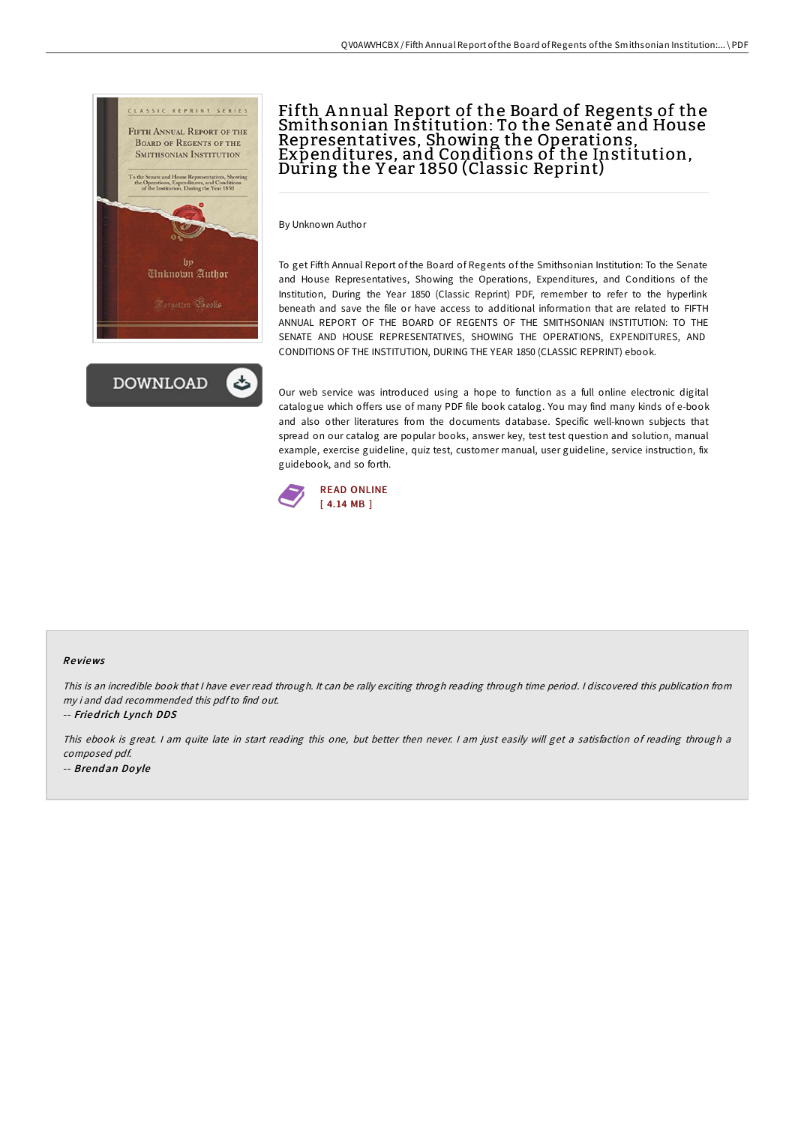



# Fifth Annual Report of the Board of Regents of the Smithsonian Institution: To the Senate and House Representatives, Showing the Operations, Expenditures, and Conditions of the Institution, During the Y ear 1850 (Classic Reprint)

By Unknown Author

To get Fifth Annual Report of the Board of Regents of the Smithsonian Institution: To the Senate and House Representatives, Showing the Operations, Expenditures, and Conditions of the Institution, During the Year 1850 (Classic Reprint) PDF, remember to refer to the hyperlink beneath and save the file or have access to additional information that are related to FIFTH ANNUAL REPORT OF THE BOARD OF REGENTS OF THE SMITHSONIAN INSTITUTION: TO THE SENATE AND HOUSE REPRESENTATIVES, SHOWING THE OPERATIONS, EXPENDITURES, AND CONDITIONS OF THE INSTITUTION, DURING THE YEAR 1850 (CLASSIC REPRINT) ebook.

Our web service was introduced using a hope to function as a full online electronic digital catalogue which offers use of many PDF file book catalog. You may find many kinds of e-book and also other literatures from the documents database. Specific well-known subjects that spread on our catalog are popular books, answer key, test test question and solution, manual example, exercise guideline, quiz test, customer manual, user guideline, service instruction, fix guidebook, and so forth.



#### Re views

This is an incredible book that I have ever read through. It can be rally exciting throgh reading through time period. I discovered this publication from my i and dad recommended this pdfto find out.

-- Fried rich Lynch DDS

This ebook is great. <sup>I</sup> am quite late in start reading this one, but better then never. <sup>I</sup> am just easily will get <sup>a</sup> satisfaction of reading through <sup>a</sup> composed pdf. -- Brend an Do yle